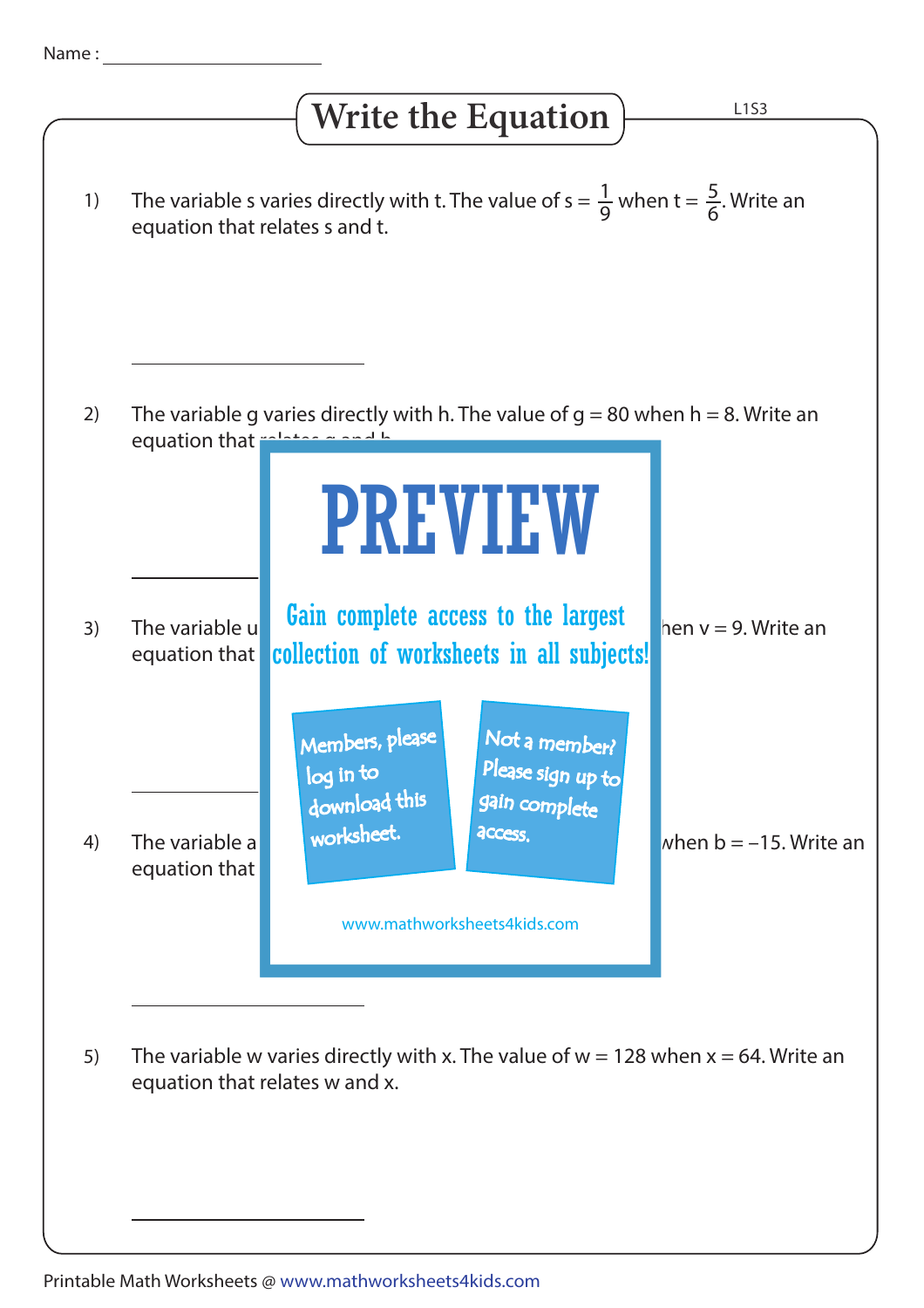## Write the Equation  $\frac{2153}{2}$

| <i>v</i> ille the Equation |                                                                                                                                           |                                                                                                                                                              |                           |
|----------------------------|-------------------------------------------------------------------------------------------------------------------------------------------|--------------------------------------------------------------------------------------------------------------------------------------------------------------|---------------------------|
| 1)                         | The variable s varies directly with t. The value of $s = \frac{1}{9}$ when $t = \frac{5}{6}$ . Write an<br>equation that relates s and t. |                                                                                                                                                              |                           |
| 2)                         | equation that relates a small                                                                                                             | The variable g varies directly with h. The value of $g = 80$ when $h = 8$ . Write an                                                                         |                           |
| 3)                         | The variable u<br>equation that                                                                                                           | <b>PREVIEW</b><br>Gain complete access to the largest<br>collection of worksheets in all subjects!                                                           | hen $v = 9$ . Write an    |
| 4)                         | The variable a<br>equation that                                                                                                           | Members, please<br>Not a member?<br>Please sign up to<br>log in to<br>download this<br>gain complete<br>worksheet.<br>access.<br>www.mathworksheets4kids.com | when $b = -15$ . Write an |
| 5)                         |                                                                                                                                           | The variable w varies directly with x. The value of $w = 128$ when $x = 64$ . Write an<br>equation that relates w and x.                                     |                           |